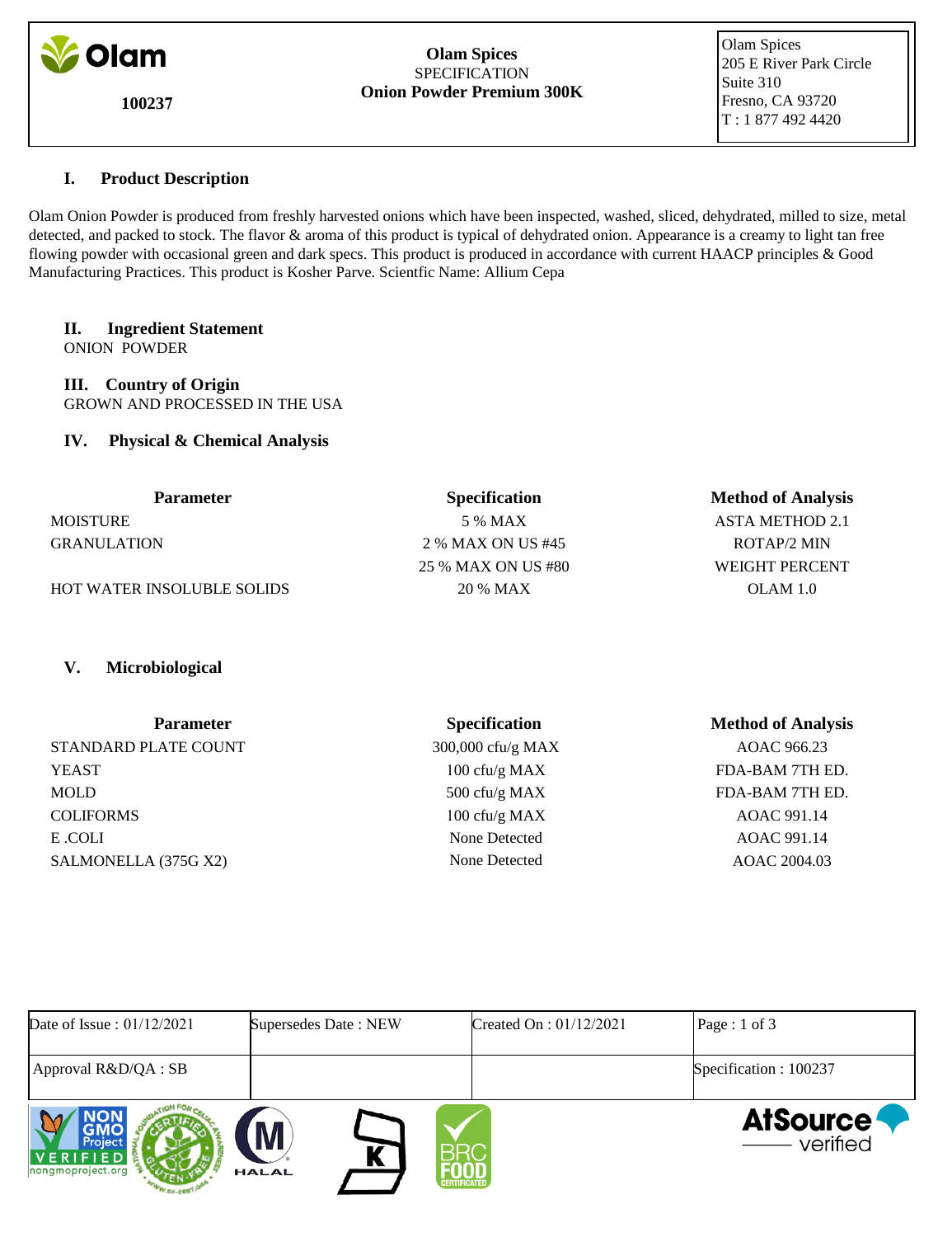

**100237**

#### **Olam Spices** SPECIFICATION **Onion Powder Premium 300K**

 Olam Spices 205 E River Park Circle Suite 310 Fresno, CA 93720 T : 1 877 492 4420

# **I. Product Description**

Olam Onion Powder is produced from freshly harvested onions which have been inspected, washed, sliced, dehydrated, milled to size, metal detected, and packed to stock. The flavor & aroma of this product is typical of dehydrated onion. Appearance is a creamy to light tan free flowing powder with occasional green and dark specs. This product is produced in accordance with current HAACP principles & Good Manufacturing Practices. This product is Kosher Parve. Scientfic Name: Allium Cepa

# **II. Ingredient Statement**

ONION POWDER

**III. Country of Origin** GROWN AND PROCESSED IN THE USA

# **IV. Physical & Chemical Analysis**

| <b>Parameter</b>                  | <b>Specification</b> | <b>Method of Analysis</b> |
|-----------------------------------|----------------------|---------------------------|
| <b>MOISTURE</b>                   | 5 % MAX              | ASTA METHOD 2.1           |
| <b>GRANULATION</b>                | 2 % MAX ON US #45    | ROTAP/2 MIN               |
|                                   | 25 % MAX ON US #80   | WEIGHT PERCENT            |
| <b>HOT WATER INSOLUBLE SOLIDS</b> | 20 % MAX             | OLAM 1.0                  |

# **V. Microbiological**

| <b>Parameter</b>     | <b>Specification</b> | <b>Method of Analysis</b> |
|----------------------|----------------------|---------------------------|
| STANDARD PLATE COUNT | 300,000 cfu/g MAX    | AOAC 966.23               |
| <b>YEAST</b>         | 100 cfu/g MAX        | FDA-BAM 7TH ED.           |
| <b>MOLD</b>          | 500 cfu/g MAX        | FDA-BAM 7TH ED.           |
| <b>COLIFORMS</b>     | 100 cfu/g MAX        | AOAC 991.14               |
| E .COLI              | None Detected        | AOAC 991.14               |
| SALMONELLA (375G X2) | None Detected        | AOAC 2004.03              |

| Date of Issue: $01/12/2021$              | Supersedes Date: NEW                     | Created On : $01/12/2021$ | Page : 1 of 3                  |
|------------------------------------------|------------------------------------------|---------------------------|--------------------------------|
| Approval R&D/QA : SB                     |                                          |                           | Specification: 100237          |
| Project<br>VERIFIED<br>nongmoproject.org | M<br><b>HALAL</b><br><b>CERTIFICATED</b> |                           | <b>AtSource</b><br>—— verified |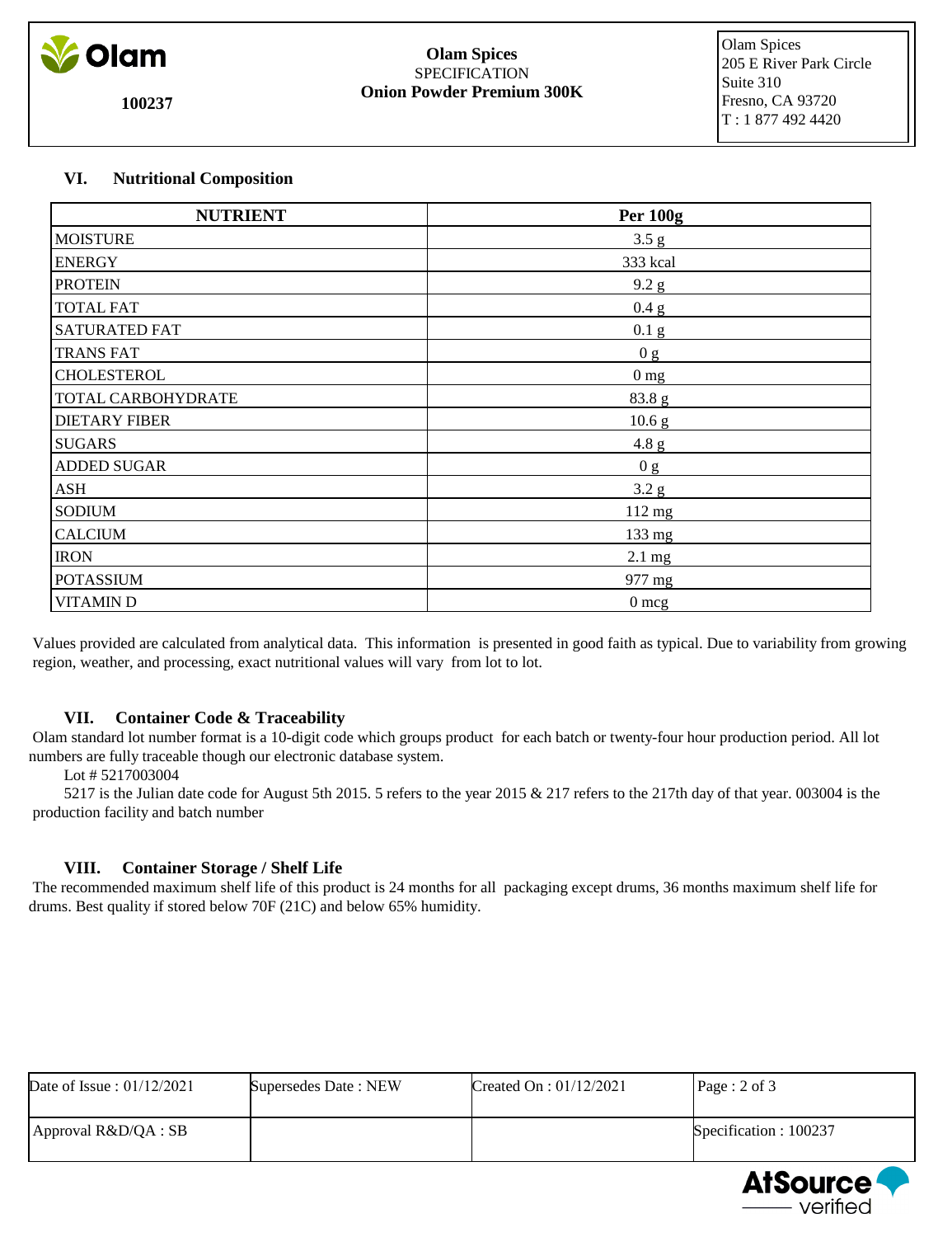

**100237**

#### **Olam Spices** SPECIFICATION **Onion Powder Premium 300K**

 Olam Spices 205 E River Park Circle Suite 310 Fresno, CA 93720 T : 1 877 492 4420

# **VI. Nutritional Composition**

| <b>NUTRIENT</b>      | <b>Per 100g</b>   |
|----------------------|-------------------|
| <b>MOISTURE</b>      | 3.5 g             |
| <b>ENERGY</b>        | 333 kcal          |
| <b>PROTEIN</b>       | 9.2 g             |
| <b>TOTAL FAT</b>     | 0.4 g             |
| <b>SATURATED FAT</b> | 0.1 <sub>g</sub>  |
| <b>TRANS FAT</b>     | 0 <sub>g</sub>    |
| CHOLESTEROL          | 0 <sub>mg</sub>   |
| TOTAL CARBOHYDRATE   | 83.8 g            |
| <b>DIETARY FIBER</b> | 10.6 <sub>g</sub> |
| <b>SUGARS</b>        | 4.8 g             |
| <b>ADDED SUGAR</b>   | 0 g               |
| ASH                  | 3.2 g             |
| <b>SODIUM</b>        | $112$ mg          |
| <b>CALCIUM</b>       | 133 mg            |
| <b>IRON</b>          | $2.1 \text{ mg}$  |
| <b>POTASSIUM</b>     | 977 mg            |
| <b>VITAMIND</b>      | $0 \text{ mcg}$   |

 Values provided are calculated from analytical data. This information is presented in good faith as typical. Due to variability from growing region, weather, and processing, exact nutritional values will vary from lot to lot.

# **VII. Container Code & Traceability**

 Olam standard lot number format is a 10-digit code which groups product for each batch or twenty-four hour production period. All lot numbers are fully traceable though our electronic database system.

Lot # 5217003004

 5217 is the Julian date code for August 5th 2015. 5 refers to the year 2015 & 217 refers to the 217th day of that year. 003004 is the production facility and batch number

# **VIII. Container Storage / Shelf Life**

 The recommended maximum shelf life of this product is 24 months for all packaging except drums, 36 months maximum shelf life for drums. Best quality if stored below 70F (21C) and below 65% humidity.

| Date of Issue: $01/12/2021$ | Supersedes Date: NEW | Created On : $01/12/2021$ | Page: 2 of 3           |
|-----------------------------|----------------------|---------------------------|------------------------|
| $A$ pproval R&D/QA : SB     |                      |                           | Specification : 100237 |